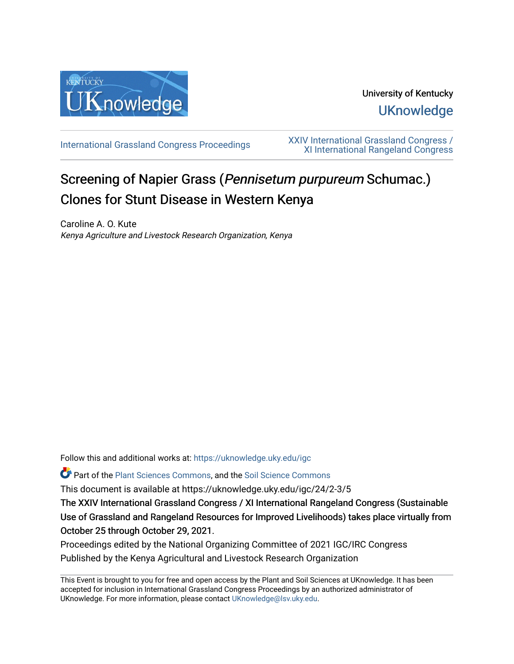

## University of Kentucky **UKnowledge**

[International Grassland Congress Proceedings](https://uknowledge.uky.edu/igc) [XXIV International Grassland Congress /](https://uknowledge.uky.edu/igc/24)  [XI International Rangeland Congress](https://uknowledge.uky.edu/igc/24) 

# Screening of Napier Grass (Pennisetum purpureum Schumac.) Clones for Stunt Disease in Western Kenya

Caroline A. O. Kute Kenya Agriculture and Livestock Research Organization, Kenya

Follow this and additional works at: [https://uknowledge.uky.edu/igc](https://uknowledge.uky.edu/igc?utm_source=uknowledge.uky.edu%2Figc%2F24%2F2-3%2F5&utm_medium=PDF&utm_campaign=PDFCoverPages) 

Part of the [Plant Sciences Commons](http://network.bepress.com/hgg/discipline/102?utm_source=uknowledge.uky.edu%2Figc%2F24%2F2-3%2F5&utm_medium=PDF&utm_campaign=PDFCoverPages), and the [Soil Science Commons](http://network.bepress.com/hgg/discipline/163?utm_source=uknowledge.uky.edu%2Figc%2F24%2F2-3%2F5&utm_medium=PDF&utm_campaign=PDFCoverPages) 

This document is available at https://uknowledge.uky.edu/igc/24/2-3/5

The XXIV International Grassland Congress / XI International Rangeland Congress (Sustainable Use of Grassland and Rangeland Resources for Improved Livelihoods) takes place virtually from October 25 through October 29, 2021.

Proceedings edited by the National Organizing Committee of 2021 IGC/IRC Congress Published by the Kenya Agricultural and Livestock Research Organization

This Event is brought to you for free and open access by the Plant and Soil Sciences at UKnowledge. It has been accepted for inclusion in International Grassland Congress Proceedings by an authorized administrator of UKnowledge. For more information, please contact [UKnowledge@lsv.uky.edu](mailto:UKnowledge@lsv.uky.edu).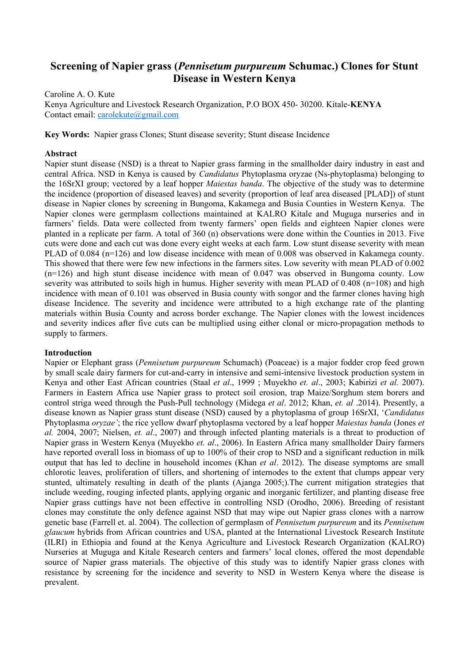### **Screening of Napier grass (***Pennisetum purpureum* **Schumac.) Clones for Stunt Disease in Western Kenya**

Caroline A. O. Kute Kenya Agriculture and Livestock Research Organization, P.O BOX 450- 30200. Kitale-**KENYA** Contact email: [carolekute@gmail.com](mailto:carolekute@gmail.com)

**Key Words:** Napier grass Clones; Stunt disease severity; Stunt disease Incidence

#### **Abstract**

Napier stunt disease (NSD) is a threat to Napier grass farming in the smallholder dairy industry in east and central Africa. NSD in Kenya is caused by *Candidatus* Phytoplasma oryzae (Ns-phytoplasma) belonging to the 16SrXI group; vectored by a leaf hopper *Maiestas banda*. The objective of the study was to determine the incidence (proportion of diseased leaves) and severity (proportion of leaf area diseased [PLAD]) of stunt disease in Napier clones by screening in Bungoma, Kakamega and Busia Counties in Western Kenya. The Napier clones were germplasm collections maintained at KALRO Kitale and Muguga nurseries and in farmers' fields. Data were collected from twenty farmers' open fields and eighteen Napier clones were planted in a replicate per farm. A total of 360 (n) observations were done within the Counties in 2013. Five cuts were done and each cut was done every eight weeks at each farm. Low stunt disease severity with mean PLAD of 0.084 (n=126) and low disease incidence with mean of 0.008 was observed in Kakamega county. This showed that there were few new infections in the farmers sites. Low severity with mean PLAD of 0.002 (n=126) and high stunt disease incidence with mean of 0.047 was observed in Bungoma county. Low severity was attributed to soils high in humus. Higher severity with mean PLAD of 0.408 (n=108) and high incidence with mean of 0.101 was observed in Busia county with songor and the farmer clones having high disease Incidence. The severity and incidence were attributed to a high exchange rate of the planting materials within Busia County and across border exchange. The Napier clones with the lowest incidences and severity indices after five cuts can be multiplied using either clonal or micro-propagation methods to supply to farmers.

#### **Introduction**

Napier or Elephant grass (*Pennisetum purpureum* Schumach) (Poaceae) is a major fodder crop feed grown by small scale dairy farmers for cut-and-carry in intensive and semi-intensive livestock production system in Kenya and other East African countries (Staal *et al*., 1999 ; Muyekho *et. al*., 2003; Kabirizi *et al.* 2007). Farmers in Eastern Africa use Napier grass to protect soil erosion, trap Maize/Sorghum stem borers and control striga weed through the Push-Pull technology (Midega *et al*. 2012; Khan, *et. al* .2014). Presently, a disease known as Napier grass stunt disease (NSD) caused by a phytoplasma of group 16SrXI, '*Candidatus*  Phytoplasma *oryzae'*; the rice yellow dwarf phytoplasma vectored by a leaf hopper *Maiestas banda* (Jones *et al.* 2004, 2007; Nielsen, *et. al*., 2007) and through infected planting materials is a threat to production of Napier grass in Western Kenya (Muyekho *et. al*., 2006). In Eastern Africa many smallholder Dairy farmers have reported overall loss in biomass of up to 100% of their crop to NSD and a significant reduction in milk output that has led to decline in household incomes (Khan *et al*. 2012). The disease symptoms are small chlorotic leaves, proliferation of tillers, and shortening of internodes to the extent that clumps appear very stunted, ultimately resulting in death of the plants (Ajanga 2005;).The current mitigation strategies that include weeding, rouging infected plants, applying organic and inorganic fertilizer, and planting disease free Napier grass cuttings have not been effective in controlling NSD (Orodho, 2006). Breeding of resistant clones may constitute the only defence against NSD that may wipe out Napier grass clones with a narrow genetic base (Farrell et. al. 2004). The collection of germplasm of *Pennisetum purpureum* and its *Pennisetum glaucum* hybrids from African countries and USA, planted at the International Livestock Research Institute (ILRI) in Ethiopia and found at the Kenya Agriculture and Livestock Research Organization (KALRO) Nurseries at Muguga and Kitale Research centers and farmers' local clones, offered the most dependable source of Napier grass materials. The objective of this study was to identify Napier grass clones with resistance by screening for the incidence and severity to NSD in Western Kenya where the disease is prevalent.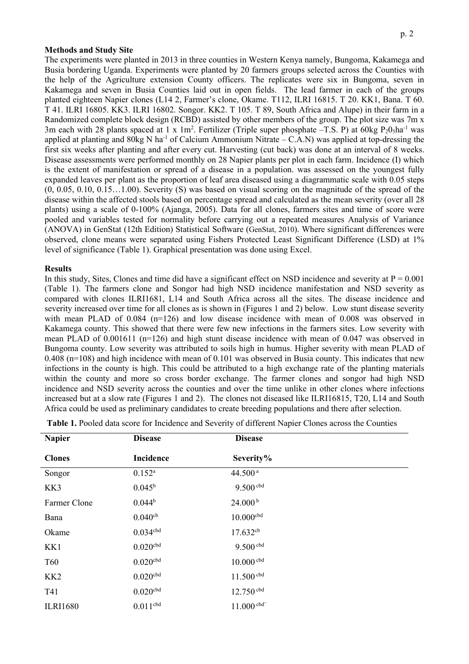#### **Methods and Study Site**

The experiments were planted in 2013 in three counties in Western Kenya namely, Bungoma, Kakamega and Busia bordering Uganda. Experiments were planted by 20 farmers groups selected across the Counties with the help of the Agriculture extension County officers. The replicates were six in Bungoma, seven in Kakamega and seven in Busia Counties laid out in open fields. The lead farmer in each of the groups planted eighteen Napier clones (L14 2, Farmer's clone, Okame. T112, ILRI 16815. T 20. KK1, Bana. T 60. T 41. ILRI 16805. KK3. ILRI 16802. Songor. KK2. T 105. T 89, South Africa and Alupe) in their farm in a Randomized complete block design (RCBD) assisted by other members of the group. The plot size was 7m x 3m each with 28 plants spaced at 1 x  $1m^2$ . Fertilizer (Triple super phosphate  $-$ T.S. P) at 60kg  $P_2O_5$ ha<sup>-1</sup> was applied at planting and  $80kg$  N ha<sup>-1</sup> of Calcium Ammonium Nitrate – C.A.N) was applied at top-dressing the first six weeks after planting and after every cut. Harvesting (cut back) was done at an interval of 8 weeks. Disease assessments were performed monthly on 28 Napier plants per plot in each farm. Incidence (I) which is the extent of manifestation or spread of a disease in a population. was assessed on the youngest fully expanded leaves per plant as the proportion of leaf area diseased using a diagrammatic scale with 0.05 steps (0, 0.05, 0.10, 0.15…1.00). Severity (S) was based on visual scoring on the magnitude of the spread of the disease within the affected stools based on percentage spread and calculated as the mean severity (over all 28 plants) using a scale of 0-100% (Ajanga, 2005). Data for all clones, farmers sites and time of score were pooled and variables tested for normality before carrying out a repeated measures Analysis of Variance (ANOVA) in GenStat (12th Edition) Statistical Software (GenStat, 2010). Where significant differences were observed, clone means were separated using Fishers Protected Least Significant Difference (LSD) at 1% level of significance (Table 1). Graphical presentation was done using Excel.

#### **Results**

In this study, Sites, Clones and time did have a significant effect on NSD incidence and severity at  $P = 0.001$ (Table 1). The farmers clone and Songor had high NSD incidence manifestation and NSD severity as compared with clones ILRI1681, L14 and South Africa across all the sites. The disease incidence and severity increased over time for all clones as is shown in (Figures 1 and 2) below. Low stunt disease severity with mean PLAD of 0.084 (n=126) and low disease incidence with mean of 0.008 was observed in Kakamega county. This showed that there were few new infections in the farmers sites. Low severity with mean PLAD of 0.001611 (n=126) and high stunt disease incidence with mean of 0.047 was observed in Bungoma county. Low severity was attributed to soils high in humus. Higher severity with mean PLAD of  $0.408$  (n=108) and high incidence with mean of 0.101 was observed in Busia county. This indicates that new infections in the county is high. This could be attributed to a high exchange rate of the planting materials within the county and more so cross border exchange. The farmer clones and songor had high NSD incidence and NSD severity across the counties and over the time unlike in other clones where infections increased but at a slow rate (Figures 1 and 2). The clones not diseased like ILRI16815, T20, L14 and South Africa could be used as preliminary candidates to create breeding populations and there after selection.

| <b>Napier</b>   | <b>Disease</b>       | <b>Disease</b>          |  |
|-----------------|----------------------|-------------------------|--|
| <b>Clones</b>   | Incidence            | Severity%               |  |
| Songor          | $0.152^{a}$          | 44.500 <sup>a</sup>     |  |
| KK3             | $0.045^{\rm b}$      | $9.500$ cbd             |  |
| Farmer Clone    | 0.044 <sup>b</sup>   | 24.000 <sup>b</sup>     |  |
| Bana            | $0.040$ cb           | $10.000^{\mathrm{cbd}}$ |  |
| Okame           | 0.034 <sub>cbd</sub> | $17.632^{cb}$           |  |
| KK1             | 0.020 <sub>cbd</sub> | $9.500$ cbd             |  |
| <b>T60</b>      | $0.020$ cbd          | $10.000$ cbd            |  |
| KK <sub>2</sub> | $0.020$ cbd          | $11.500$ cbd            |  |
| T41             | $0.020$ cbd          | $12.750$ cbd            |  |
| <b>ILRI1680</b> | $0.011^{\rm cbd}$    | $11.000$ cbd'           |  |

**Table 1.** Pooled data score for Incidence and Severity of different Napier Clones across the Counties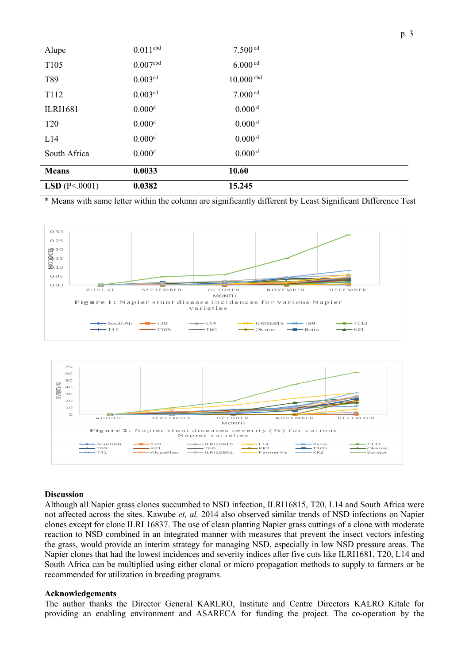| Alupe                  | $0.011^{\text{cbd}}$ | $7.500$ cd          |  |
|------------------------|----------------------|---------------------|--|
| T105                   | 0.007 <sub>cbd</sub> | $6.000$ cd          |  |
| T89                    | 0.003 <sup>cd</sup>  | $10.000$ cbd        |  |
| T <sub>112</sub>       | 0.003 <sup>cd</sup>  | 7.000 <sup>cd</sup> |  |
| <b>ILRI1681</b>        | 0.000 <sup>d</sup>   | 0.000 <sup>d</sup>  |  |
| <b>T20</b>             | 0.000 <sup>d</sup>   | 0.000 <sup>d</sup>  |  |
| L14                    | 0.000 <sup>d</sup>   | 0.000 <sup>d</sup>  |  |
| South Africa           | 0.000 <sup>d</sup>   | 0.000 <sup>d</sup>  |  |
| <b>Means</b>           | 0.0033               | 10.60               |  |
| <b>LSD</b> $(P<.0001)$ | 0.0382               | 15.245              |  |

\* Means with same letter within the column are significantly different by Least Significant Difference Test





#### **Discussion**

Although all Napier grass clones succumbed to NSD infection, ILRI16815, T20, L14 and South Africa were not affected across the sites. Kawube *et, al,* 2014 also observed similar trends of NSD infections on Napier clones except for clone ILRI 16837. The use of clean planting Napier grass cuttings of a clone with moderate reaction to NSD combined in an integrated manner with measures that prevent the insect vectors infesting the grass, would provide an interim strategy for managing NSD, especially in low NSD pressure areas. The Napier clones that had the lowest incidences and severity indices after five cuts like ILRI1681, T20, L14 and South Africa can be multiplied using either clonal or micro propagation methods to supply to farmers or be recommended for utilization in breeding programs.

#### **Acknowledgements**

The author thanks the Director General KARLRO, Institute and Centre Directors KALRO Kitale for providing an enabling environment and ASARECA for funding the project. The co-operation by the